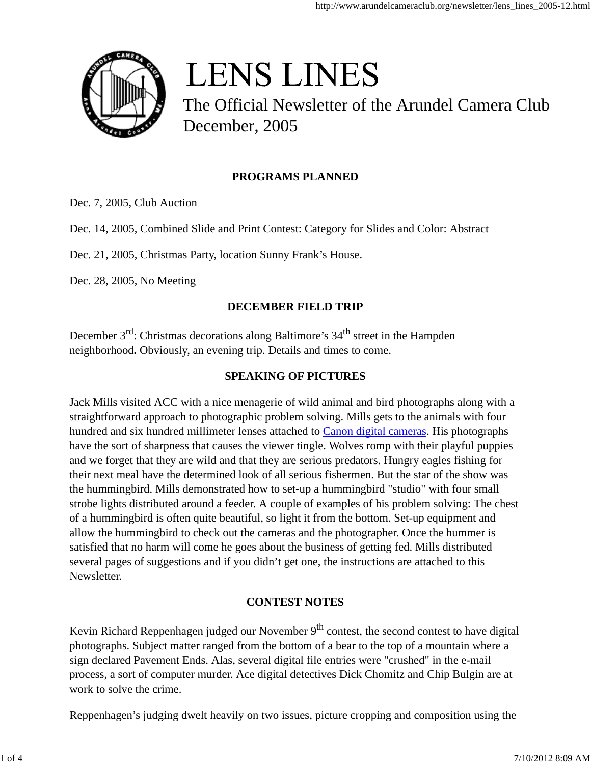

# **LENS LINES**

The Official Newsletter of the Arundel Camera Club December, 2005

# **PROGRAMS PLANNED**

Dec. 7, 2005, Club Auction

Dec. 14, 2005, Combined Slide and Print Contest: Category for Slides and Color: Abstract

Dec. 21, 2005, Christmas Party, location Sunny Frank's House.

Dec. 28, 2005, No Meeting

## **DECEMBER FIELD TRIP**

December  $3^{rd}$ : Christmas decorations along Baltimore's  $34^{th}$  street in the Hampden neighborhood**.** Obviously, an evening trip. Details and times to come.

## **SPEAKING OF PICTURES**

Jack Mills visited ACC with a nice menagerie of wild animal and bird photographs along with a straightforward approach to photographic problem solving. Mills gets to the animals with four hundred and six hundred millimeter lenses attached to Canon digital cameras. His photographs have the sort of sharpness that causes the viewer tingle. Wolves romp with their playful puppies and we forget that they are wild and that they are serious predators. Hungry eagles fishing for their next meal have the determined look of all serious fishermen. But the star of the show was the hummingbird. Mills demonstrated how to set-up a hummingbird "studio" with four small strobe lights distributed around a feeder. A couple of examples of his problem solving: The chest of a hummingbird is often quite beautiful, so light it from the bottom. Set-up equipment and allow the hummingbird to check out the cameras and the photographer. Once the hummer is satisfied that no harm will come he goes about the business of getting fed. Mills distributed several pages of suggestions and if you didn't get one, the instructions are attached to this Newsletter.

## **CONTEST NOTES**

Kevin Richard Reppenhagen judged our November  $9<sup>th</sup>$  contest, the second contest to have digital photographs. Subject matter ranged from the bottom of a bear to the top of a mountain where a sign declared Pavement Ends. Alas, several digital file entries were "crushed" in the e-mail process, a sort of computer murder. Ace digital detectives Dick Chomitz and Chip Bulgin are at work to solve the crime.

Reppenhagen's judging dwelt heavily on two issues, picture cropping and composition using the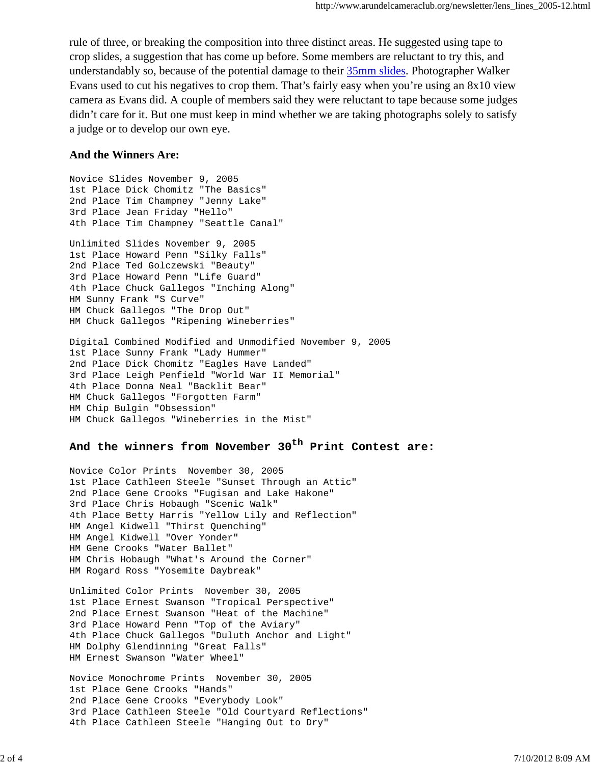rule of three, or breaking the composition into three distinct areas. He suggested using tape to crop slides, a suggestion that has come up before. Some members are reluctant to try this, and understandably so, because of the potential damage to their 35mm slides. Photographer Walker Evans used to cut his negatives to crop them. That's fairly easy when you're using an 8x10 view camera as Evans did. A couple of members said they were reluctant to tape because some judges didn't care for it. But one must keep in mind whether we are taking photographs solely to satisfy a judge or to develop our own eye.

## **And the Winners Are:**

Novice Slides November 9, 2005 1st Place Dick Chomitz "The Basics" 2nd Place Tim Champney "Jenny Lake" 3rd Place Jean Friday "Hello" 4th Place Tim Champney "Seattle Canal" Unlimited Slides November 9, 2005 1st Place Howard Penn "Silky Falls" 2nd Place Ted Golczewski "Beauty" 3rd Place Howard Penn "Life Guard" 4th Place Chuck Gallegos "Inching Along" HM Sunny Frank "S Curve" HM Chuck Gallegos "The Drop Out" HM Chuck Gallegos "Ripening Wineberries" Digital Combined Modified and Unmodified November 9, 2005

1st Place Sunny Frank "Lady Hummer" 2nd Place Dick Chomitz "Eagles Have Landed" 3rd Place Leigh Penfield "World War II Memorial" 4th Place Donna Neal "Backlit Bear" HM Chuck Gallegos "Forgotten Farm" HM Chip Bulgin "Obsession" HM Chuck Gallegos "Wineberries in the Mist"

# **And the winners from November 30th Print Contest are:**

Novice Color Prints November 30, 2005 1st Place Cathleen Steele "Sunset Through an Attic" 2nd Place Gene Crooks "Fugisan and Lake Hakone" 3rd Place Chris Hobaugh "Scenic Walk" 4th Place Betty Harris "Yellow Lily and Reflection" HM Angel Kidwell "Thirst Quenching" HM Angel Kidwell "Over Yonder" HM Gene Crooks "Water Ballet" HM Chris Hobaugh "What's Around the Corner" HM Rogard Ross "Yosemite Daybreak"

Unlimited Color Prints November 30, 2005 1st Place Ernest Swanson "Tropical Perspective" 2nd Place Ernest Swanson "Heat of the Machine" 3rd Place Howard Penn "Top of the Aviary" 4th Place Chuck Gallegos "Duluth Anchor and Light" HM Dolphy Glendinning "Great Falls" HM Ernest Swanson "Water Wheel"

Novice Monochrome Prints November 30, 2005 1st Place Gene Crooks "Hands" 2nd Place Gene Crooks "Everybody Look" 3rd Place Cathleen Steele "Old Courtyard Reflections" 4th Place Cathleen Steele "Hanging Out to Dry"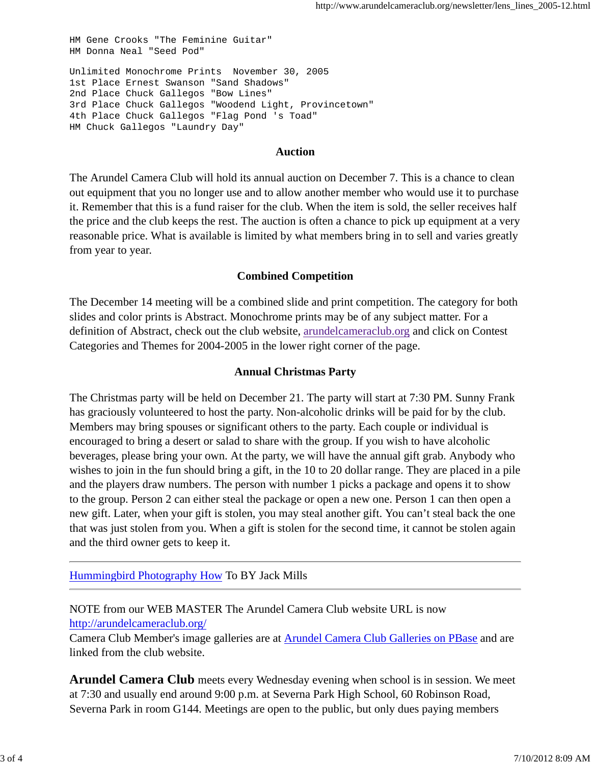HM Gene Crooks "The Feminine Guitar" HM Donna Neal "Seed Pod" Unlimited Monochrome Prints November 30, 2005 1st Place Ernest Swanson "Sand Shadows" 2nd Place Chuck Gallegos "Bow Lines" 3rd Place Chuck Gallegos "Woodend Light, Provincetown" 4th Place Chuck Gallegos "Flag Pond 's Toad" HM Chuck Gallegos "Laundry Day"

## **Auction**

The Arundel Camera Club will hold its annual auction on December 7. This is a chance to clean out equipment that you no longer use and to allow another member who would use it to purchase it. Remember that this is a fund raiser for the club. When the item is sold, the seller receives half the price and the club keeps the rest. The auction is often a chance to pick up equipment at a very reasonable price. What is available is limited by what members bring in to sell and varies greatly from year to year.

## **Combined Competition**

The December 14 meeting will be a combined slide and print competition. The category for both slides and color prints is Abstract. Monochrome prints may be of any subject matter. For a definition of Abstract, check out the club website, arundelcameraclub.org and click on Contest Categories and Themes for 2004-2005 in the lower right corner of the page.

## **Annual Christmas Party**

The Christmas party will be held on December 21. The party will start at 7:30 PM. Sunny Frank has graciously volunteered to host the party. Non-alcoholic drinks will be paid for by the club. Members may bring spouses or significant others to the party. Each couple or individual is encouraged to bring a desert or salad to share with the group. If you wish to have alcoholic beverages, please bring your own. At the party, we will have the annual gift grab. Anybody who wishes to join in the fun should bring a gift, in the 10 to 20 dollar range. They are placed in a pile and the players draw numbers. The person with number 1 picks a package and opens it to show to the group. Person 2 can either steal the package or open a new one. Person 1 can then open a new gift. Later, when your gift is stolen, you may steal another gift. You can't steal back the one that was just stolen from you. When a gift is stolen for the second time, it cannot be stolen again and the third owner gets to keep it.

Hummingbird Photography How To BY Jack Mills

NOTE from our WEB MASTER The Arundel Camera Club website URL is now http://arundelcameraclub.org/

Camera Club Member's image galleries are at Arundel Camera Club Galleries on PBase and are linked from the club website.

**Arundel Camera Club** meets every Wednesday evening when school is in session. We meet at 7:30 and usually end around 9:00 p.m. at Severna Park High School, 60 Robinson Road, Severna Park in room G144. Meetings are open to the public, but only dues paying members